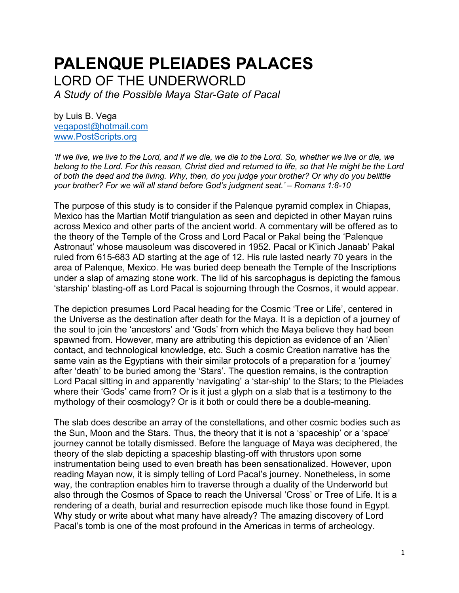# **PALENQUE PLEIADES PALACES** LORD OF THE UNDERWORLD

*A Study of the Possible Maya Star-Gate of Pacal*

by Luis B. Vega [vegapost@hotmail.com](mailto:vegapost@hotmail.com) [www.PostScripts.org](http://www.postscripts.org/)

*'If we live, we live to the Lord, and if we die, we die to the Lord. So, whether we live or die, we belong to the Lord. For this reason, Christ died and returned to life, so that He might be the Lord of both the dead and the living. Why, then, do you judge your brother? Or why do you belittle your brother? For we will all stand before God's judgment seat.' – Romans 1:8-10*

The purpose of this study is to consider if the Palenque pyramid complex in Chiapas, Mexico has the Martian Motif triangulation as seen and depicted in other Mayan ruins across Mexico and other parts of the ancient world. A commentary will be offered as to the theory of the Temple of the Cross and Lord Pacal or Pakal being the 'Palenque Astronaut' whose mausoleum was discovered in 1952. Pacal or K'inich Janaab' Pakal ruled from 615-683 AD starting at the age of 12. His rule lasted nearly 70 years in the area of Palenque, Mexico. He was buried deep beneath the Temple of the Inscriptions under a slap of amazing stone work. The lid of his sarcophagus is depicting the famous 'starship' blasting-off as Lord Pacal is sojourning through the Cosmos, it would appear.

The depiction presumes Lord Pacal heading for the Cosmic 'Tree or Life', centered in the Universe as the destination after death for the Maya. It is a depiction of a journey of the soul to join the 'ancestors' and 'Gods' from which the Maya believe they had been spawned from. However, many are attributing this depiction as evidence of an 'Alien' contact, and technological knowledge, etc. Such a cosmic Creation narrative has the same vain as the Egyptians with their similar protocols of a preparation for a 'journey' after 'death' to be buried among the 'Stars'. The question remains, is the contraption Lord Pacal sitting in and apparently 'navigating' a 'star-ship' to the Stars; to the Pleiades where their 'Gods' came from? Or is it just a glyph on a slab that is a testimony to the mythology of their cosmology? Or is it both or could there be a double-meaning.

The slab does describe an array of the constellations, and other cosmic bodies such as the Sun, Moon and the Stars. Thus, the theory that it is not a 'spaceship' or a 'space' journey cannot be totally dismissed. Before the language of Maya was deciphered, the theory of the slab depicting a spaceship blasting-off with thrustors upon some instrumentation being used to even breath has been sensationalized. However, upon reading Mayan now, it is simply telling of Lord Pacal's journey. Nonetheless, in some way, the contraption enables him to traverse through a duality of the Underworld but also through the Cosmos of Space to reach the Universal 'Cross' or Tree of Life. It is a rendering of a death, burial and resurrection episode much like those found in Egypt. Why study or write about what many have already? The amazing discovery of Lord Pacal's tomb is one of the most profound in the Americas in terms of archeology.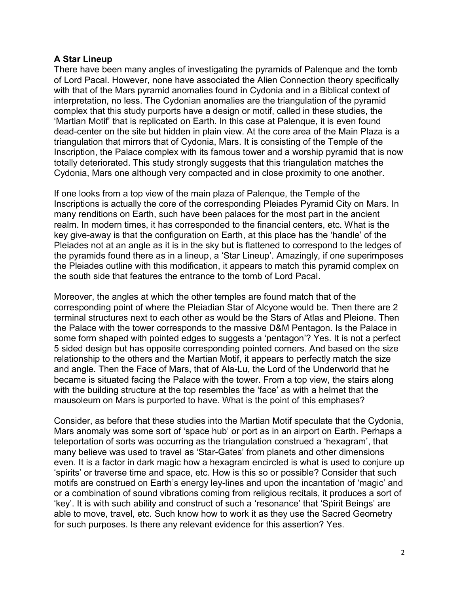## **A Star Lineup**

There have been many angles of investigating the pyramids of Palenque and the tomb of Lord Pacal. However, none have associated the Alien Connection theory specifically with that of the Mars pyramid anomalies found in Cydonia and in a Biblical context of interpretation, no less. The Cydonian anomalies are the triangulation of the pyramid complex that this study purports have a design or motif, called in these studies, the 'Martian Motif' that is replicated on Earth. In this case at Palenque, it is even found dead-center on the site but hidden in plain view. At the core area of the Main Plaza is a triangulation that mirrors that of Cydonia, Mars. It is consisting of the Temple of the Inscription, the Palace complex with its famous tower and a worship pyramid that is now totally deteriorated. This study strongly suggests that this triangulation matches the Cydonia, Mars one although very compacted and in close proximity to one another.

If one looks from a top view of the main plaza of Palenque, the Temple of the Inscriptions is actually the core of the corresponding Pleiades Pyramid City on Mars. In many renditions on Earth, such have been palaces for the most part in the ancient realm. In modern times, it has corresponded to the financial centers, etc. What is the key give-away is that the configuration on Earth, at this place has the 'handle' of the Pleiades not at an angle as it is in the sky but is flattened to correspond to the ledges of the pyramids found there as in a lineup, a 'Star Lineup'. Amazingly, if one superimposes the Pleiades outline with this modification, it appears to match this pyramid complex on the south side that features the entrance to the tomb of Lord Pacal.

Moreover, the angles at which the other temples are found match that of the corresponding point of where the Pleiadian Star of Alcyone would be. Then there are 2 terminal structures next to each other as would be the Stars of Atlas and Pleione. Then the Palace with the tower corresponds to the massive D&M Pentagon. Is the Palace in some form shaped with pointed edges to suggests a 'pentagon'? Yes. It is not a perfect 5 sided design but has opposite corresponding pointed corners. And based on the size relationship to the others and the Martian Motif, it appears to perfectly match the size and angle. Then the Face of Mars, that of Ala-Lu, the Lord of the Underworld that he became is situated facing the Palace with the tower. From a top view, the stairs along with the building structure at the top resembles the 'face' as with a helmet that the mausoleum on Mars is purported to have. What is the point of this emphases?

Consider, as before that these studies into the Martian Motif speculate that the Cydonia, Mars anomaly was some sort of 'space hub' or port as in an airport on Earth. Perhaps a teleportation of sorts was occurring as the triangulation construed a 'hexagram', that many believe was used to travel as 'Star-Gates' from planets and other dimensions even. It is a factor in dark magic how a hexagram encircled is what is used to conjure up 'spirits' or traverse time and space, etc. How is this so or possible? Consider that such motifs are construed on Earth's energy ley-lines and upon the incantation of 'magic' and or a combination of sound vibrations coming from religious recitals, it produces a sort of 'key'. It is with such ability and construct of such a 'resonance' that 'Spirit Beings' are able to move, travel, etc. Such know how to work it as they use the Sacred Geometry for such purposes. Is there any relevant evidence for this assertion? Yes.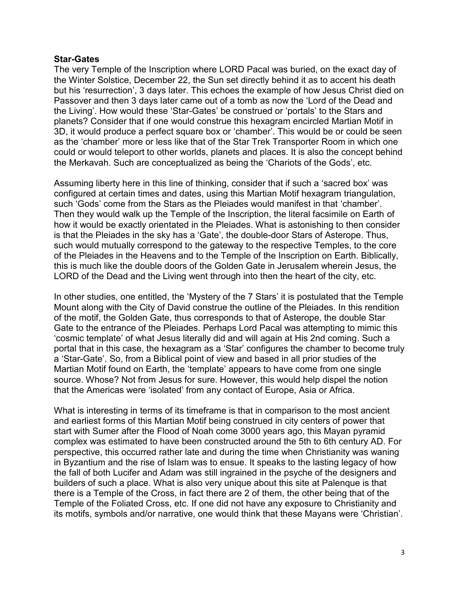#### **Star-Gates**

The very Temple of the Inscription where LORD Pacal was buried, on the exact day of the Winter Solstice, December 22, the Sun set directly behind it as to accent his death but his 'resurrection', 3 days later. This echoes the example of how Jesus Christ died on Passover and then 3 days later came out of a tomb as now the 'Lord of the Dead and the Living'. How would these 'Star-Gates' be construed or 'portals' to the Stars and planets? Consider that if one would construe this hexagram encircled Martian Motif in 3D, it would produce a perfect square box or 'chamber'. This would be or could be seen as the 'chamber' more or less like that of the Star Trek Transporter Room in which one could or would teleport to other worlds, planets and places. It is also the concept behind the Merkavah. Such are conceptualized as being the 'Chariots of the Gods', etc.

Assuming liberty here in this line of thinking, consider that if such a 'sacred box' was configured at certain times and dates, using this Martian Motif hexagram triangulation, such 'Gods' come from the Stars as the Pleiades would manifest in that 'chamber'. Then they would walk up the Temple of the Inscription, the literal facsimile on Earth of how it would be exactly orientated in the Pleiades. What is astonishing to then consider is that the Pleiades in the sky has a 'Gate', the double-door Stars of Asterope. Thus, such would mutually correspond to the gateway to the respective Temples, to the core of the Pleiades in the Heavens and to the Temple of the Inscription on Earth. Biblically, this is much like the double doors of the Golden Gate in Jerusalem wherein Jesus, the LORD of the Dead and the Living went through into then the heart of the city, etc.

In other studies, one entitled, the 'Mystery of the 7 Stars' it is postulated that the Temple Mount along with the City of David construe the outline of the Pleiades. In this rendition of the motif, the Golden Gate, thus corresponds to that of Asterope, the double Star Gate to the entrance of the Pleiades. Perhaps Lord Pacal was attempting to mimic this 'cosmic template' of what Jesus literally did and will again at His 2nd coming. Such a portal that in this case, the hexagram as a 'Star' configures the chamber to become truly a 'Star-Gate'. So, from a Biblical point of view and based in all prior studies of the Martian Motif found on Earth, the 'template' appears to have come from one single source. Whose? Not from Jesus for sure. However, this would help dispel the notion that the Americas were 'isolated' from any contact of Europe, Asia or Africa.

What is interesting in terms of its timeframe is that in comparison to the most ancient and earliest forms of this Martian Motif being construed in city centers of power that start with Sumer after the Flood of Noah come 3000 years ago, this Mayan pyramid complex was estimated to have been constructed around the 5th to 6th century AD. For perspective, this occurred rather late and during the time when Christianity was waning in Byzantium and the rise of Islam was to ensue. It speaks to the lasting legacy of how the fall of both Lucifer and Adam was still ingrained in the psyche of the designers and builders of such a place. What is also very unique about this site at Palenque is that there is a Temple of the Cross, in fact there are 2 of them, the other being that of the Temple of the Foliated Cross, etc. If one did not have any exposure to Christianity and its motifs, symbols and/or narrative, one would think that these Mayans were 'Christian'.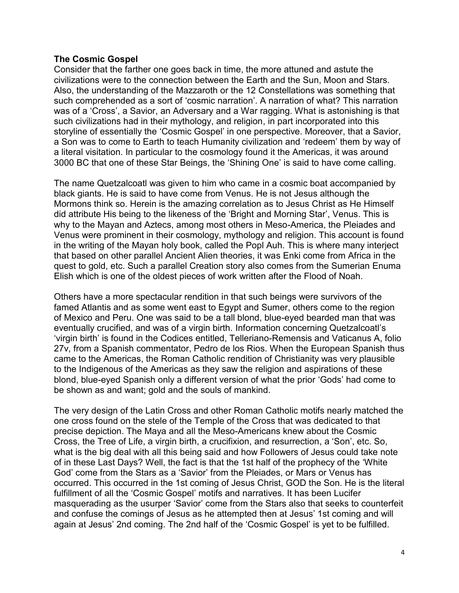### **The Cosmic Gospel**

Consider that the farther one goes back in time, the more attuned and astute the civilizations were to the connection between the Earth and the Sun, Moon and Stars. Also, the understanding of the Mazzaroth or the 12 Constellations was something that such comprehended as a sort of 'cosmic narration'. A narration of what? This narration was of a 'Cross', a Savior, an Adversary and a War ragging. What is astonishing is that such civilizations had in their mythology, and religion, in part incorporated into this storyline of essentially the 'Cosmic Gospel' in one perspective. Moreover, that a Savior, a Son was to come to Earth to teach Humanity civilization and 'redeem' them by way of a literal visitation. In particular to the cosmology found it the Americas, it was around 3000 BC that one of these Star Beings, the 'Shining One' is said to have come calling.

The name Quetzalcoatl was given to him who came in a cosmic boat accompanied by black giants. He is said to have come from Venus. He is not Jesus although the Mormons think so. Herein is the amazing correlation as to Jesus Christ as He Himself did attribute His being to the likeness of the 'Bright and Morning Star', Venus. This is why to the Mayan and Aztecs, among most others in Meso-America, the Pleiades and Venus were prominent in their cosmology, mythology and religion. This account is found in the writing of the Mayan holy book, called the Popl Auh. This is where many interject that based on other parallel Ancient Alien theories, it was Enki come from Africa in the quest to gold, etc. Such a parallel Creation story also comes from the Sumerian Enuma Elish which is one of the oldest pieces of work written after the Flood of Noah.

Others have a more spectacular rendition in that such beings were survivors of the famed Atlantis and as some went east to Egypt and Sumer, others come to the region of Mexico and Peru. One was said to be a tall blond, blue-eyed bearded man that was eventually crucified, and was of a virgin birth. Information concerning Quetzalcoatl's 'virgin birth' is found in the Codices entitled, Telleriano-Remensis and Vaticanus A, folio 27v, from a Spanish commentator, Pedro de los Rios. When the European Spanish thus came to the Americas, the Roman Catholic rendition of Christianity was very plausible to the Indigenous of the Americas as they saw the religion and aspirations of these blond, blue-eyed Spanish only a different version of what the prior 'Gods' had come to be shown as and want; gold and the souls of mankind.

The very design of the Latin Cross and other Roman Catholic motifs nearly matched the one cross found on the stele of the Temple of the Cross that was dedicated to that precise depiction. The Maya and all the Meso-Americans knew about the Cosmic Cross, the Tree of Life, a virgin birth, a crucifixion, and resurrection, a 'Son', etc. So, what is the big deal with all this being said and how Followers of Jesus could take note of in these Last Days? Well, the fact is that the 1st half of the prophecy of the 'White God' come from the Stars as a 'Savior' from the Pleiades, or Mars or Venus has occurred. This occurred in the 1st coming of Jesus Christ, GOD the Son. He is the literal fulfillment of all the 'Cosmic Gospel' motifs and narratives. It has been Lucifer masquerading as the usurper 'Savior' come from the Stars also that seeks to counterfeit and confuse the comings of Jesus as he attempted then at Jesus' 1st coming and will again at Jesus' 2nd coming. The 2nd half of the 'Cosmic Gospel' is yet to be fulfilled.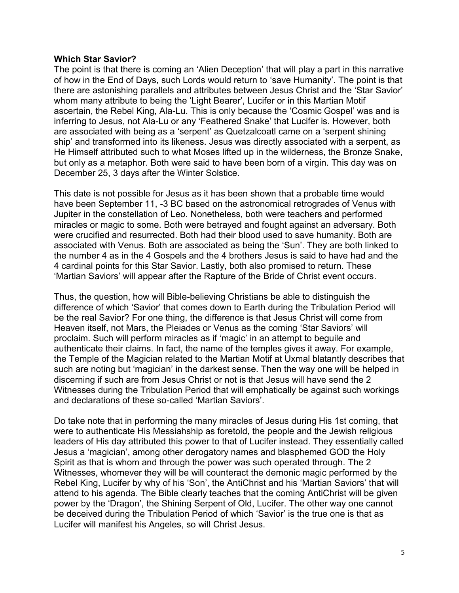### **Which Star Savior?**

The point is that there is coming an 'Alien Deception' that will play a part in this narrative of how in the End of Days, such Lords would return to 'save Humanity'. The point is that there are astonishing parallels and attributes between Jesus Christ and the 'Star Savior' whom many attribute to being the 'Light Bearer', Lucifer or in this Martian Motif ascertain, the Rebel King, Ala-Lu. This is only because the 'Cosmic Gospel' was and is inferring to Jesus, not Ala-Lu or any 'Feathered Snake' that Lucifer is. However, both are associated with being as a 'serpent' as Quetzalcoatl came on a 'serpent shining ship' and transformed into its likeness. Jesus was directly associated with a serpent, as He Himself attributed such to what Moses lifted up in the wilderness, the Bronze Snake, but only as a metaphor. Both were said to have been born of a virgin. This day was on December 25, 3 days after the Winter Solstice.

This date is not possible for Jesus as it has been shown that a probable time would have been September 11, -3 BC based on the astronomical retrogrades of Venus with Jupiter in the constellation of Leo. Nonetheless, both were teachers and performed miracles or magic to some. Both were betrayed and fought against an adversary. Both were crucified and resurrected. Both had their blood used to save humanity. Both are associated with Venus. Both are associated as being the 'Sun'. They are both linked to the number 4 as in the 4 Gospels and the 4 brothers Jesus is said to have had and the 4 cardinal points for this Star Savior. Lastly, both also promised to return. These 'Martian Saviors' will appear after the Rapture of the Bride of Christ event occurs.

Thus, the question, how will Bible-believing Christians be able to distinguish the difference of which 'Savior' that comes down to Earth during the Tribulation Period will be the real Savior? For one thing, the difference is that Jesus Christ will come from Heaven itself, not Mars, the Pleiades or Venus as the coming 'Star Saviors' will proclaim. Such will perform miracles as if 'magic' in an attempt to beguile and authenticate their claims. In fact, the name of the temples gives it away. For example, the Temple of the Magician related to the Martian Motif at Uxmal blatantly describes that such are noting but 'magician' in the darkest sense. Then the way one will be helped in discerning if such are from Jesus Christ or not is that Jesus will have send the 2 Witnesses during the Tribulation Period that will emphatically be against such workings and declarations of these so-called 'Martian Saviors'.

Do take note that in performing the many miracles of Jesus during His 1st coming, that were to authenticate His Messiahship as foretold, the people and the Jewish religious leaders of His day attributed this power to that of Lucifer instead. They essentially called Jesus a 'magician', among other derogatory names and blasphemed GOD the Holy Spirit as that is whom and through the power was such operated through. The 2 Witnesses, whomever they will be will counteract the demonic magic performed by the Rebel King, Lucifer by why of his 'Son', the AntiChrist and his 'Martian Saviors' that will attend to his agenda. The Bible clearly teaches that the coming AntiChrist will be given power by the 'Dragon', the Shining Serpent of Old, Lucifer. The other way one cannot be deceived during the Tribulation Period of which 'Savior' is the true one is that as Lucifer will manifest his Angeles, so will Christ Jesus.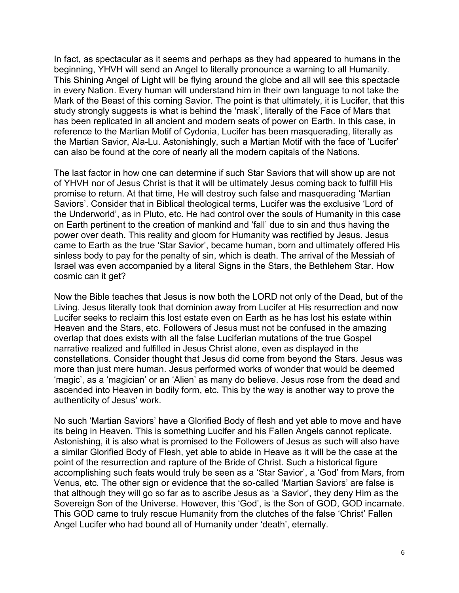In fact, as spectacular as it seems and perhaps as they had appeared to humans in the beginning, YHVH will send an Angel to literally pronounce a warning to all Humanity. This Shining Angel of Light will be flying around the globe and all will see this spectacle in every Nation. Every human will understand him in their own language to not take the Mark of the Beast of this coming Savior. The point is that ultimately, it is Lucifer, that this study strongly suggests is what is behind the 'mask', literally of the Face of Mars that has been replicated in all ancient and modern seats of power on Earth. In this case, in reference to the Martian Motif of Cydonia, Lucifer has been masquerading, literally as the Martian Savior, Ala-Lu. Astonishingly, such a Martian Motif with the face of 'Lucifer' can also be found at the core of nearly all the modern capitals of the Nations.

The last factor in how one can determine if such Star Saviors that will show up are not of YHVH nor of Jesus Christ is that it will be ultimately Jesus coming back to fulfill His promise to return. At that time, He will destroy such false and masquerading 'Martian Saviors'. Consider that in Biblical theological terms, Lucifer was the exclusive 'Lord of the Underworld', as in Pluto, etc. He had control over the souls of Humanity in this case on Earth pertinent to the creation of mankind and 'fall' due to sin and thus having the power over death. This reality and gloom for Humanity was rectified by Jesus. Jesus came to Earth as the true 'Star Savior', became human, born and ultimately offered His sinless body to pay for the penalty of sin, which is death. The arrival of the Messiah of Israel was even accompanied by a literal Signs in the Stars, the Bethlehem Star. How cosmic can it get?

Now the Bible teaches that Jesus is now both the LORD not only of the Dead, but of the Living. Jesus literally took that dominion away from Lucifer at His resurrection and now Lucifer seeks to reclaim this lost estate even on Earth as he has lost his estate within Heaven and the Stars, etc. Followers of Jesus must not be confused in the amazing overlap that does exists with all the false Luciferian mutations of the true Gospel narrative realized and fulfilled in Jesus Christ alone, even as displayed in the constellations. Consider thought that Jesus did come from beyond the Stars. Jesus was more than just mere human. Jesus performed works of wonder that would be deemed 'magic', as a 'magician' or an 'Alien' as many do believe. Jesus rose from the dead and ascended into Heaven in bodily form, etc. This by the way is another way to prove the authenticity of Jesus' work.

No such 'Martian Saviors' have a Glorified Body of flesh and yet able to move and have its being in Heaven. This is something Lucifer and his Fallen Angels cannot replicate. Astonishing, it is also what is promised to the Followers of Jesus as such will also have a similar Glorified Body of Flesh, yet able to abide in Heave as it will be the case at the point of the resurrection and rapture of the Bride of Christ. Such a historical figure accomplishing such feats would truly be seen as a 'Star Savior', a 'God' from Mars, from Venus, etc. The other sign or evidence that the so-called 'Martian Saviors' are false is that although they will go so far as to ascribe Jesus as 'a Savior', they deny Him as the Sovereign Son of the Universe. However, this 'God', is the Son of GOD, GOD incarnate. This GOD came to truly rescue Humanity from the clutches of the false 'Christ' Fallen Angel Lucifer who had bound all of Humanity under 'death', eternally.